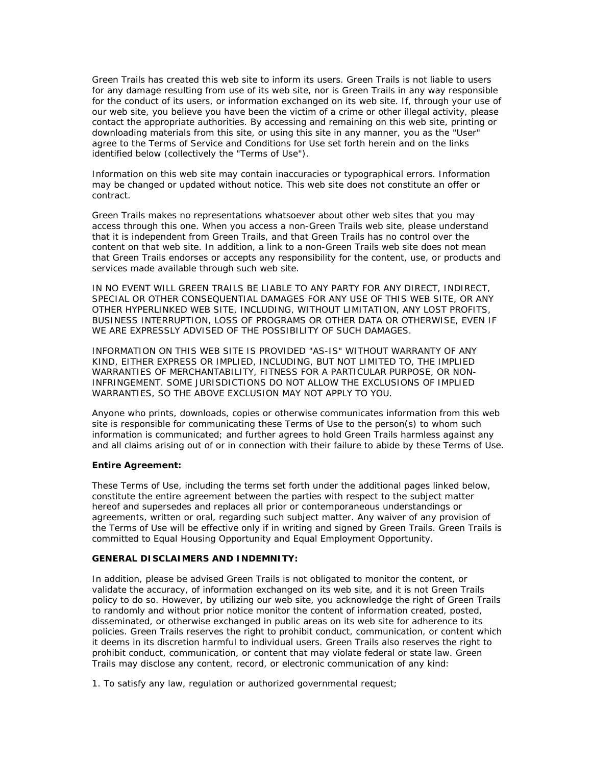Green Trails has created this web site to inform its users. Green Trails is not liable to users for any damage resulting from use of its web site, nor is Green Trails in any way responsible for the conduct of its users, or information exchanged on its web site. If, through your use of our web site, you believe you have been the victim of a crime or other illegal activity, please contact the appropriate authorities. By accessing and remaining on this web site, printing or downloading materials from this site, or using this site in any manner, you as the "User" agree to the Terms of Service and Conditions for Use set forth herein and on the links identified below (collectively the "Terms of Use").

Information on this web site may contain inaccuracies or typographical errors. Information may be changed or updated without notice. This web site does not constitute an offer or contract.

Green Trails makes no representations whatsoever about other web sites that you may access through this one. When you access a non-Green Trails web site, please understand that it is independent from Green Trails, and that Green Trails has no control over the content on that web site. In addition, a link to a non-Green Trails web site does not mean that Green Trails endorses or accepts any responsibility for the content, use, or products and services made available through such web site.

IN NO EVENT WILL GREEN TRAILS BE LIABLE TO ANY PARTY FOR ANY DIRECT, INDIRECT, SPECIAL OR OTHER CONSEQUENTIAL DAMAGES FOR ANY USE OF THIS WEB SITE, OR ANY OTHER HYPERLINKED WEB SITE, INCLUDING, WITHOUT LIMITATION, ANY LOST PROFITS, BUSINESS INTERRUPTION, LOSS OF PROGRAMS OR OTHER DATA OR OTHERWISE, EVEN IF WE ARE EXPRESSLY ADVISED OF THE POSSIBILITY OF SUCH DAMAGES.

INFORMATION ON THIS WEB SITE IS PROVIDED "AS-IS" WITHOUT WARRANTY OF ANY KIND, EITHER EXPRESS OR IMPLIED, INCLUDING, BUT NOT LIMITED TO, THE IMPLIED WARRANTIES OF MERCHANTABILITY, FITNESS FOR A PARTICULAR PURPOSE, OR NON-INFRINGEMENT. SOME JURISDICTIONS DO NOT ALLOW THE EXCLUSIONS OF IMPLIED WARRANTIES, SO THE ABOVE EXCLUSION MAY NOT APPLY TO YOU.

Anyone who prints, downloads, copies or otherwise communicates information from this web site is responsible for communicating these Terms of Use to the person(s) to whom such information is communicated; and further agrees to hold Green Trails harmless against any and all claims arising out of or in connection with their failure to abide by these Terms of Use.

## **Entire Agreement:**

These Terms of Use, including the terms set forth under the additional pages linked below, constitute the entire agreement between the parties with respect to the subject matter hereof and supersedes and replaces all prior or contemporaneous understandings or agreements, written or oral, regarding such subject matter. Any waiver of any provision of the Terms of Use will be effective only if in writing and signed by Green Trails. Green Trails is committed to Equal Housing Opportunity and Equal Employment Opportunity.

## **GENERAL DISCLAIMERS AND INDEMNITY:**

In addition, please be advised Green Trails is not obligated to monitor the content, or validate the accuracy, of information exchanged on its web site, and it is not Green Trails policy to do so. However, by utilizing our web site, you acknowledge the right of Green Trails to randomly and without prior notice monitor the content of information created, posted, disseminated, or otherwise exchanged in public areas on its web site for adherence to its policies. Green Trails reserves the right to prohibit conduct, communication, or content which it deems in its discretion harmful to individual users. Green Trails also reserves the right to prohibit conduct, communication, or content that may violate federal or state law. Green Trails may disclose any content, record, or electronic communication of any kind:

1. To satisfy any law, regulation or authorized governmental request;